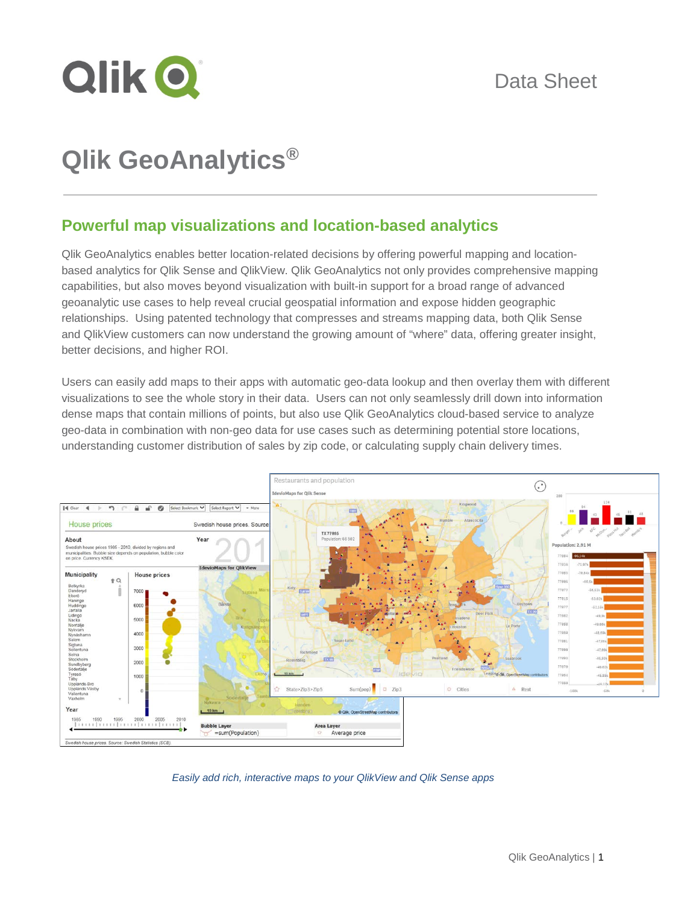

# **Qlik GeoAnalytics®**

## **Powerful map visualizations and location-based analytics**

Qlik GeoAnalytics enables better location-related decisions by offering powerful mapping and locationbased analytics for Qlik Sense and QlikView. Qlik GeoAnalytics not only provides comprehensive mapping capabilities, but also moves beyond visualization with built-in support for a broad range of advanced geoanalytic use cases to help reveal crucial geospatial information and expose hidden geographic relationships. Using patented technology that compresses and streams mapping data, both Qlik Sense and QlikView customers can now understand the growing amount of "where" data, offering greater insight, better decisions, and higher ROI.

Users can easily add maps to their apps with automatic geo-data lookup and then overlay them with different visualizations to see the whole story in their data. Users can not only seamlessly drill down into information dense maps that contain millions of points, but also use Qlik GeoAnalytics cloud-based service to analyze geo-data in combination with non-geo data for use cases such as determining potential store locations, understanding customer distribution of sales by zip code, or calculating supply chain delivery times.



*Easily add rich, interactive maps to your QlikView and Qlik Sense apps*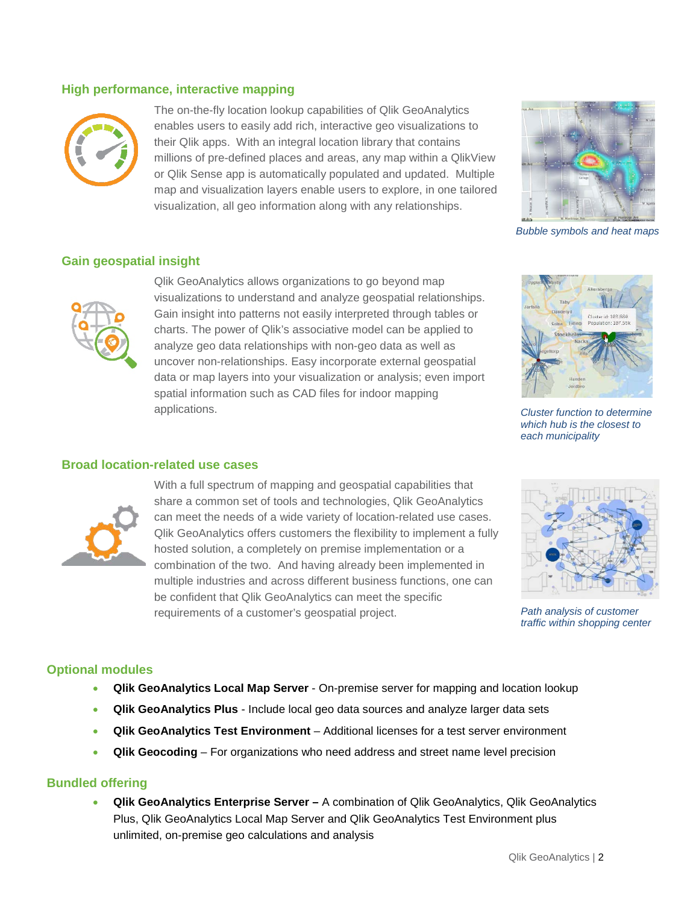#### **High performance, interactive mapping**



The on-the-fly location lookup capabilities of Qlik GeoAnalytics enables users to easily add rich, interactive geo visualizations to their Qlik apps. With an integral location library that contains millions of pre-defined places and areas, any map within a QlikView or Qlik Sense app is automatically populated and updated. Multiple map and visualization layers enable users to explore, in one tailored visualization, all geo information along with any relationships.



*Bubble symbols and heat maps*

#### **Gain geospatial insight**



Qlik GeoAnalytics allows organizations to go beyond map visualizations to understand and analyze geospatial relationships. Gain insight into patterns not easily interpreted through tables or charts. The power of Qlik's associative model can be applied to analyze geo data relationships with non-geo data as well as uncover non-relationships. Easy incorporate external geospatial data or map layers into your visualization or analysis; even import spatial information such as CAD files for indoor mapping applications.



*Cluster function to determine which hub is the closest to each municipality*

### **Broad location-related use cases**



With a full spectrum of mapping and geospatial capabilities that share a common set of tools and technologies, Qlik GeoAnalytics can meet the needs of a wide variety of location-related use cases. Qlik GeoAnalytics offers customers the flexibility to implement a fully hosted solution, a completely on premise implementation or a combination of the two. And having already been implemented in multiple industries and across different business functions, one can be confident that Qlik GeoAnalytics can meet the specific requirements of a customer's geospatial project.



*Path analysis of customer traffic within shopping center*

#### **Optional modules**

- **Qlik GeoAnalytics Local Map Server** On-premise server for mapping and location lookup
- **Qlik GeoAnalytics Plus**  Include local geo data sources and analyze larger data sets
- **Qlik GeoAnalytics Test Environment** Additional licenses for a test server environment
- **Qlik Geocoding**  For organizations who need address and street name level precision

#### **Bundled offering**

• **Qlik GeoAnalytics Enterprise Server –** A combination of Qlik GeoAnalytics, Qlik GeoAnalytics Plus, Qlik GeoAnalytics Local Map Server and Qlik GeoAnalytics Test Environment plus unlimited, on-premise geo calculations and analysis